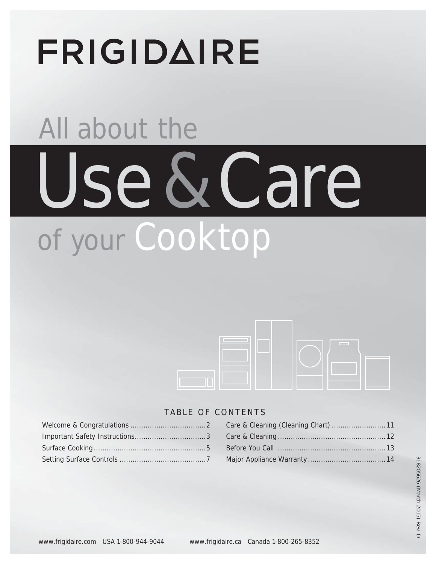# **FRIGIDAIRE**

# All about the Use & Care of your Cooktop



## TABLE OF CONTENTS

## Care & Cleaning (Cleaning Chart) .........................11 Care & Cleaning ..................................................12 Before You Call ..................................................13 Major Appliance Warranty ....................................14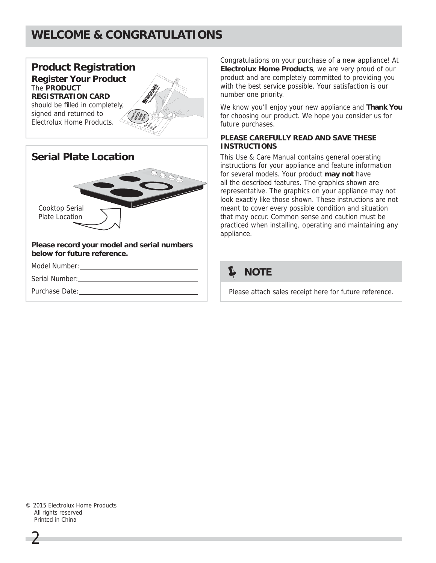# **WELCOME & CONGRATULATIONS**



Congratulations on your purchase of a new appliance! At **Electrolux Home Products**, we are very proud of our product and are completely committed to providing you with the best service possible. Your satisfaction is our number one priority.

We know you'll enjoy your new appliance and **Thank You** for choosing our product. We hope you consider us for future purchases.

#### **PLEASE CAREFULLY READ AND SAVE THESE INSTRUCTIONS**

This Use & Care Manual contains general operating instructions for your appliance and feature information for several models. Your product **may not** have all the described features. The graphics shown are representative. The graphics on your appliance may not look exactly like those shown. These instructions are not meant to cover every possible condition and situation that may occur. Common sense and caution must be practiced when installing, operating and maintaining any appliance.

## **NOTE**

Please attach sales receipt here for future reference.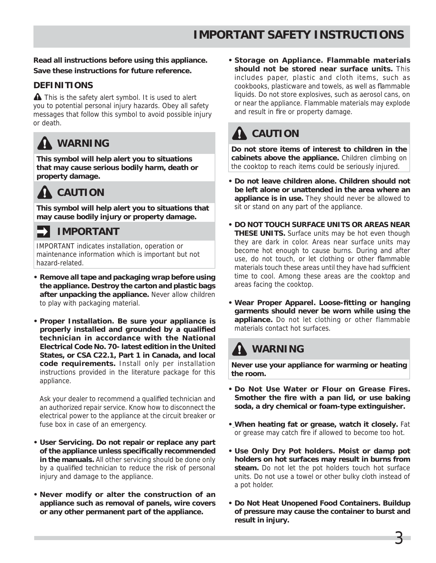#### **Read all instructions before using this appliance. Save these instructions for future reference.**

#### **DEFINITIONS**

**A** This is the safety alert symbol. It is used to alert you to potential personal injury hazards. Obey all safety messages that follow this symbol to avoid possible injury or death.

# **WARNING**

**This symbol will help alert you to situations that may cause serious bodily harm, death or property damage.**

# **CAUTION**

**This symbol will help alert you to situations that may cause bodily injury or property damage.**

## **IMPORTANT**

IMPORTANT indicates installation, operation or maintenance information which is important but not hazard-related.

- **Remove all tape and packaging wrap before using the appliance. Destroy the carton and plastic bags after unpacking the appliance.** Never allow children to play with packaging material.
- **• Proper Installation. Be sure your appliance is**  properly installed and grounded by a qualified **technician in accordance with the National Electrical Code No. 70- latest edition in the United States, or CSA C22.1, Part 1 in Canada, and local code requirements.** Install only per installation instructions provided in the literature package for this appliance.

Ask your dealer to recommend a qualified technician and an authorized repair service. Know how to disconnect the electrical power to the appliance at the circuit breaker or fuse box in case of an emergency.

- **User Servicing. Do not repair or replace any part of the appliance unless specifi cally recommended in the manuals.** All other servicing should be done only by a qualified technician to reduce the risk of personal injury and damage to the appliance.
- **Never modify or alter the construction of an appliance such as removal of panels, wire covers or any other permanent part of the appliance.**

**• Storage on Appliance. Flammable materials should not be stored near surface units.** This includes paper, plastic and cloth items, such as cookbooks, plasticware and towels, as well as flammable liquids. Do not store explosives, such as aerosol cans, on or near the appliance. Flammable materials may explode and result in fire or property damage.

# **A** CAUTION

**Do not store items of interest to children in the cabinets above the appliance.** Children climbing on the cooktop to reach items could be seriously injured.

- **Do not leave children alone. Children should not be left alone or unattended in the area where an appliance is in use.** They should never be allowed to sit or stand on any part of the appliance.
- **DO NOT TOUCH SURFACE UNITS OR AREAS NEAR THESE UNITS.** Surface units may be hot even though they are dark in color. Areas near surface units may become hot enough to cause burns. During and after use, do not touch, or let clothing or other flammable materials touch these areas until they have had sufficient time to cool. Among these areas are the cooktop and areas facing the cooktop.
- Wear Proper Apparel. Loose-fitting or hanging **garments should never be worn while using the appliance.** Do not let clothing or other flammable materials contact hot surfaces.

# **WARNING**

**Never use your appliance for warming or heating the room.**

- **Do Not Use Water or Flour on Grease Fires.**  Smother the fire with a pan lid, or use baking **soda, a dry chemical or foam-type extinguisher.**
- **When heating fat or grease, watch it closely.** Fat or grease may catch fire if allowed to become too hot.
- **• Use Only Dry Pot holders. Moist or damp pot holders on hot surfaces may result in burns from steam.** Do not let the pot holders touch hot surface units. Do not use a towel or other bulky cloth instead of a pot holder.
- **• Do Not Heat Unopened Food Containers. Buildup of pressure may cause the container to burst and result in injury.**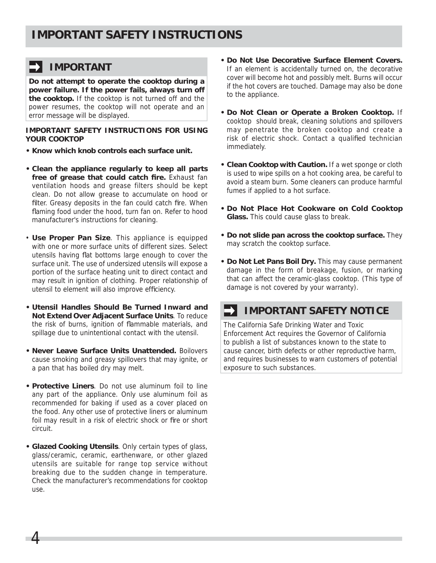## **IMPORTANT**

**Do not attempt to operate the cooktop during a power failure. If the power fails, always turn off the cooktop.** If the cooktop is not turned off and the power resumes, the cooktop will not operate and an error message will be displayed.

**IMPORTANT SAFETY INSTRUCTIONS FOR USING YOUR COOKTOP**

- **Know which knob controls each surface unit.**
- **Clean the appliance regularly to keep all parts free of grease that could catch fire.** Exhaust fan ventilation hoods and grease filters should be kept clean. Do not allow grease to accumulate on hood or filter. Greasy deposits in the fan could catch fire. When flaming food under the hood, turn fan on. Refer to hood manufacturer's instructions for cleaning.
- **Use Proper Pan Size**. This appliance is equipped with one or more surface units of different sizes. Select utensils having flat bottoms large enough to cover the surface unit. The use of undersized utensils will expose a portion of the surface heating unit to direct contact and may result in ignition of clothing. Proper relationship of utensil to element will also improve efficiency.
- **• Utensil Handles Should Be Turned Inward and Not Extend Over Adjacent Surface Units**. To reduce the risk of burns, ignition of flammable materials, and spillage due to unintentional contact with the utensil.
- **• Never Leave Surface Units Unattended.** Boilovers cause smoking and greasy spillovers that may ignite, or a pan that has boiled dry may melt.
- **• Protective Liners**. Do not use aluminum foil to line any part of the appliance. Only use aluminum foil as recommended for baking if used as a cover placed on the food. Any other use of protective liners or aluminum foil may result in a risk of electric shock or fire or short circuit.
- **Glazed Cooking Utensils**. Only certain types of glass, glass/ceramic, ceramic, earthenware, or other glazed utensils are suitable for range top service without breaking due to the sudden change in temperature. Check the manufacturer's recommendations for cooktop use.

4

- **Do Not Use Decorative Surface Element Covers.**  If an element is accidentally turned on, the decorative cover will become hot and possibly melt. Burns will occur if the hot covers are touched. Damage may also be done to the appliance.
- **Do Not Clean or Operate a Broken Cooktop.** If cooktop should break, cleaning solutions and spillovers may penetrate the broken cooktop and create a risk of electric shock. Contact a qualified technician immediately.
- **Clean Cooktop with Caution.** If a wet sponge or cloth is used to wipe spills on a hot cooking area, be careful to avoid a steam burn. Some cleaners can produce harmful fumes if applied to a hot surface.
- **Do Not Place Hot Cookware on Cold Cooktop Glass.** This could cause glass to break.
- **Do not slide pan across the cooktop surface.** They may scratch the cooktop surface.
- **Do Not Let Pans Boil Dry.** This may cause permanent damage in the form of breakage, fusion, or marking that can affect the ceramic-glass cooktop. (This type of damage is not covered by your warranty).

## **IMPORTANT SAFETY NOTICE**

The California Safe Drinking Water and Toxic Enforcement Act requires the Governor of California to publish a list of substances known to the state to cause cancer, birth defects or other reproductive harm, and requires businesses to warn customers of potential exposure to such substances.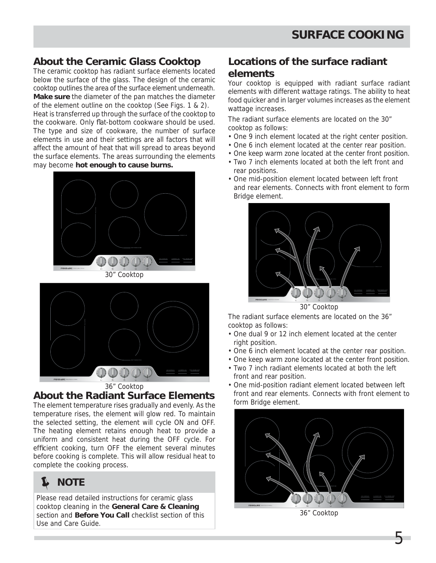## **About the Ceramic Glass Cooktop**

The ceramic cooktop has radiant surface elements located below the surface of the glass. The design of the ceramic cooktop outlines the area of the surface element underneath. **Make sure** the diameter of the pan matches the diameter of the element outline on the cooktop (See Figs. 1 & 2). Heat is transferred up through the surface of the cooktop to the cookware. Only flat-bottom cookware should be used. The type and size of cookware, the number of surface elements in use and their settings are all factors that will affect the amount of heat that will spread to areas beyond the surface elements. The areas surrounding the elements may become **hot enough to cause burns.**





#### **About the Radiant Surface Elements**

The element temperature rises gradually and evenly. As the temperature rises, the element will glow red. To maintain the selected setting, the element will cycle ON and OFF. The heating element retains enough heat to provide a uniform and consistent heat during the OFF cycle. For efficient cooking, turn OFF the element several minutes before cooking is complete. This will allow residual heat to complete the cooking process.

# **NOTE**

Please read detailed instructions for ceramic glass cooktop cleaning in the **General Care & Cleaning** section and **Before You Call** checklist section of this Use and Care Guide.

## **Locations of the surface radiant elements**

Your cooktop is equipped with radiant surface radiant elements with different wattage ratings. The ability to heat food quicker and in larger volumes increases as the element wattage increases.

The radiant surface elements are located on the 30" cooktop as follows:

- One 9 inch element located at the right center position.
- One 6 inch element located at the center rear position.
- One keep warm zone located at the center front position.
- Two 7 inch elements located at both the left front and rear positions.
- One mid-position element located between left front and rear elements. Connects with front element to form Bridge element.



30" Cooktop

The radiant surface elements are located on the 36" cooktop as follows:

- One dual 9 or 12 inch element located at the center right position.
- One 6 inch element located at the center rear position.
- One keep warm zone located at the center front position.
- Two 7 inch radiant elements located at both the left front and rear position.
- One mid-position radiant element located between left front and rear elements. Connects with front element to form Bridge element.



36" Cooktop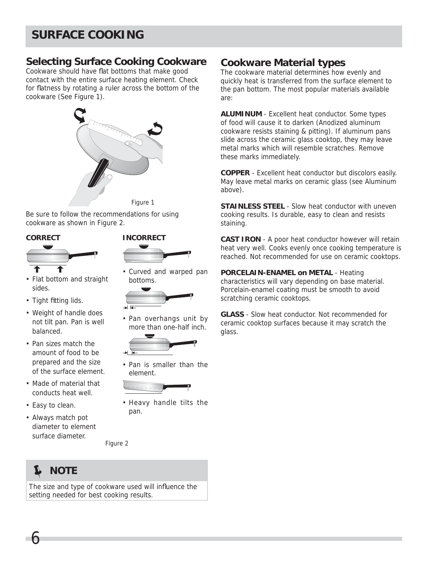# **SURFACE COOKING**

### **Selecting Surface Cooking Cookware**

Cookware should have flat bottoms that make good contact with the entire surface heating element. Check for flatness by rotating a ruler across the bottom of the cookware (See Figure 1).



Be sure to follow the recommendations for using cookware as shown in Figure 2.

#### **CORRECT**



- Flat bottom and straight sides.
- Tight fitting lids.
- Weight of handle does not tilt pan. Pan is well balanced.
- Pan sizes match the amount of food to be prepared and the size of the surface element.
- Made of material that conducts heat well.
- Easy to clean.
- Always match pot diameter to element surface diameter.



• Curved and warped pan bottoms.



• Pan overhangs unit by more than one-half inch.



• Pan is smaller than the element.



• Heavy handle tilts the pan.

Figure 2

# **NOTE**

6

The size and type of cookware used will influence the setting needed for best cooking results.

### **Cookware Material types**

The cookware material determines how evenly and quickly heat is transferred from the surface element to the pan bottom. The most popular materials available are:

**ALUMINUM** - Excellent heat conductor. Some types of food will cause it to darken (Anodized aluminum cookware resists staining & pitting). If aluminum pans slide across the ceramic glass cooktop, they may leave metal marks which will resemble scratches. Remove these marks immediately.

**COPPER** - Excellent heat conductor but discolors easily. May leave metal marks on ceramic glass (see Aluminum above).

**STAINLESS STEEL** - Slow heat conductor with uneven cooking results. Is durable, easy to clean and resists staining.

**CAST IRON** - A poor heat conductor however will retain heat very well. Cooks evenly once cooking temperature is reached. Not recommended for use on ceramic cooktops.

**PORCELAIN-ENAMEL on METAL** - Heating characteristics will vary depending on base material. Porcelain-enamel coating must be smooth to avoid scratching ceramic cooktops.

**GLASS** - Slow heat conductor. Not recommended for ceramic cooktop surfaces because it may scratch the glass.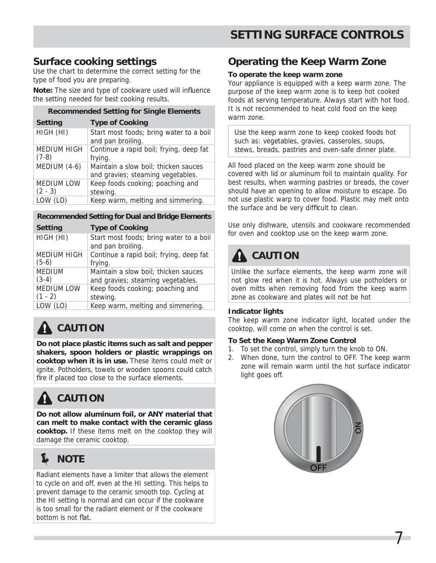## **Surface cooking settings**

Use the chart to determine the correct setting for the type of food you are preparing.

**Note:** The size and type of cookware used will influence the setting needed for best cooking results. **Recommended Setting for Single Elements**

| Recommended Setting for Single Elements |                                                                           |  |
|-----------------------------------------|---------------------------------------------------------------------------|--|
| <b>Setting</b>                          | <b>Type of Cooking</b>                                                    |  |
| HIGH (HI)                               | Start most foods; bring water to a boil<br>and pan broiling.              |  |
| MEDIUM HIGH<br>$(7-8)$                  | Continue a rapid boil; frying, deep fat<br>frying.                        |  |
| MEDIUM (4-6)                            | Maintain a slow boil; thicken sauces<br>and gravies; steaming vegetables. |  |
| <b>MEDIUM LOW</b><br>$(2 - 3)$          | Keep foods cooking; poaching and<br>stewing.                              |  |
| LOW (LO)                                | Keep warm, melting and simmering.                                         |  |
|                                         |                                                                           |  |

#### **Recommended Setting for Dual and Bridge Elements**

| <b>Setting</b>    | <b>Type of Cooking</b>                                       |
|-------------------|--------------------------------------------------------------|
| HIGH (HI)         | Start most foods; bring water to a boil<br>and pan broiling. |
| MEDIUM HIGH       | Continue a rapid boil; frying, deep fat                      |
| $(5-6)$           | frying.                                                      |
| <b>MEDIUM</b>     | Maintain a slow boil; thicken sauces                         |
| $(3-4)$           | and gravies; steaming vegetables.                            |
| <b>MEDIUM LOW</b> | Keep foods cooking; poaching and                             |
| $(1 - 2)$         | stewing.                                                     |
| LOW (LO)          | Keep warm, melting and simmering.                            |

# **A** CAUTION

**Do not place plastic items such as salt and pepper shakers, spoon holders or plastic wrappings on cooktop when it is in use.** These items could melt or ignite. Potholders, towels or wooden spoons could catch fire if placed too close to the surface elements.

# **CAUTION**

**Do not allow aluminum foil, or ANY material that can melt to make contact with the ceramic glass cooktop.** If these items melt on the cooktop they will damage the ceramic cooktop.

# **NOTE**

Radiant elements have a limiter that allows the element to cycle on and off, even at the HI setting. This helps to prevent damage to the ceramic smooth top. Cycling at the HI setting is normal and can occur if the cookware is too small for the radiant element or if the cookware bottom is not flat.

## **Operating the Keep Warm Zone**

#### **To operate the keep warm zone**

Your appliance is equipped with a keep warm zone. The purpose of the keep warm zone is to keep hot cooked foods at serving temperature. Always start with hot food. It is not recommended to heat cold food on the keep warm zone.

Use the keep warm zone to keep cooked foods hot such as: vegetables, gravies, casseroles, soups, stews, breads, pastries and oven-safe dinner plate.

All food placed on the keep warm zone should be covered with lid or aluminum foil to maintain quality. For best results, when warming pastries or breads, the cover should have an opening to allow moisture to escape. Do not use plastic warp to cover food. Plastic may melt onto the surface and be very difficult to clean.

Use only dishware, utensils and cookware recommended for oven and cooktop use on the keep warm zone.

# **A** CAUTION

Unlike the surface elements, the keep warm zone will not glow red when it is hot. Always use potholders or oven mitts when removing food from the keep warm zone as cookware and plates will not be hot

#### **Indicator lights**

The keep warm zone indicator light, located under the cooktop, will come on when the control is set.

#### **To Set the Keep Warm Zone Control**

- 1. To set the control, simply turn the knob to ON.
- 2. When done, turn the control to OFF. The keep warm zone will remain warm until the hot surface indicator light goes off.

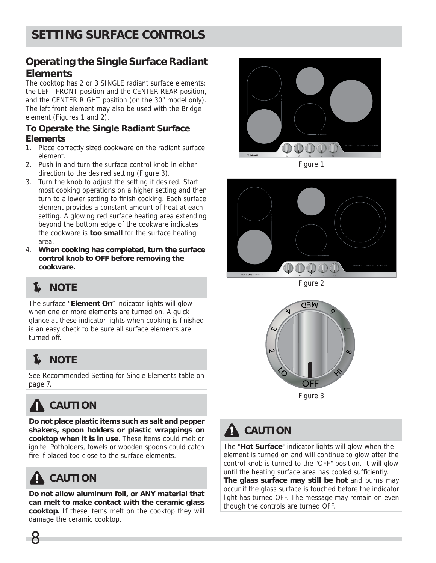## **Operating the Single Surface Radiant Elements**

The cooktop has 2 or 3 SINGLE radiant surface elements: the LEFT FRONT position and the CENTER REAR position, and the CENTER RIGHT position (on the 30" model only). The left front element may also be used with the Bridge element (Figures 1 and 2).

#### **To Operate the Single Radiant Surface Elements**

- 1. Place correctly sized cookware on the radiant surface element.
- 2. Push in and turn the surface control knob in either direction to the desired setting (Figure 3).
- 3. Turn the knob to adjust the setting if desired. Start most cooking operations on a higher setting and then turn to a lower setting to finish cooking. Each surface element provides a constant amount of heat at each setting. A glowing red surface heating area extending beyond the bottom edge of the cookware indicates the cookware is **too small** for the surface heating area.
- 4. **When cooking has completed, turn the surface control knob to OFF before removing the cookware.**

# **NOTE**

The surface "**Element On**" indicator lights will glow when one or more elements are turned on. A quick glance at these indicator lights when cooking is finished is an easy check to be sure all surface elements are turned off.

# **NOTE**

See Recommended Setting for Single Elements table on page 7.

# **CAUTION**

**Do not place plastic items such as salt and pepper shakers, spoon holders or plastic wrappings on cooktop when it is in use.** These items could melt or ignite. Potholders, towels or wooden spoons could catch fire if placed too close to the surface elements.

# **CAUTION**

8

**Do not allow aluminum foil, or ANY material that can melt to make contact with the ceramic glass cooktop.** If these items melt on the cooktop they will damage the ceramic cooktop.



Figure 1



Figure 2



Figure 3

# **CAUTION**

The "**Hot Surface**" indicator lights will glow when the element is turned on and will continue to glow after the control knob is turned to the "OFF" position. It will glow until the heating surface area has cooled sufficiently. **The glass surface may still be hot** and burns may occur if the glass surface is touched before the indicator light has turned OFF. The message may remain on even though the controls are turned OFF.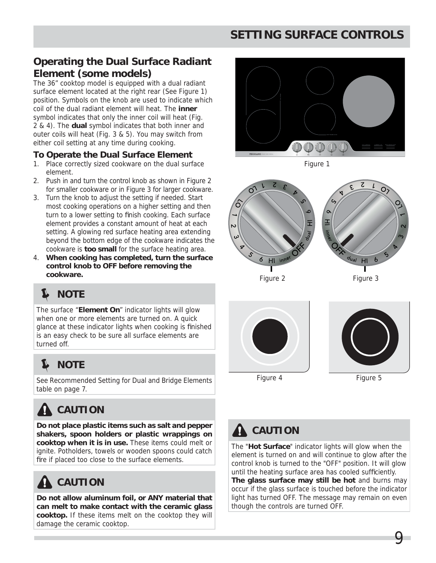# **SETTING SURFACE CONTROLS**

## **Operating the Dual Surface Radiant Element (some models)**

The 36" cooktop model is equipped with a dual radiant surface element located at the right rear (See Figure 1) position. Symbols on the knob are used to indicate which coil of the dual radiant element will heat. The **inner** symbol indicates that only the inner coil will heat (Fig. 2 & 4). The **dual** symbol indicates that both inner and outer coils will heat (Fig. 3 & 5). You may switch from either coil setting at any time during cooking.

#### **To Operate the Dual Surface Element**

- 1. Place correctly sized cookware on the dual surface element.
- 2. Push in and turn the control knob as shown in Figure 2 for smaller cookware or in Figure 3 for larger cookware.
- 3. Turn the knob to adjust the setting if needed. Start most cooking operations on a higher setting and then turn to a lower setting to finish cooking. Each surface element provides a constant amount of heat at each setting. A glowing red surface heating area extending beyond the bottom edge of the cookware indicates the cookware is **too small** for the surface heating area.
- 4. **When cooking has completed, turn the surface control knob to OFF before removing the cookware.**

# **NOTE**

The surface "**Element On**" indicator lights will glow when one or more elements are turned on. A quick glance at these indicator lights when cooking is finished is an easy check to be sure all surface elements are turned off.

#### $\mathbf{z}$ **NOTE**

See Recommended Setting for Dual and Bridge Elements table on page 7.

# **CAUTION**

**Do not place plastic items such as salt and pepper shakers, spoon holders or plastic wrappings on cooktop when it is in use.** These items could melt or ignite. Potholders, towels or wooden spoons could catch fire if placed too close to the surface elements.

# **CAUTION**

**Do not allow aluminum foil, or ANY material that can melt to make contact with the ceramic glass cooktop.** If these items melt on the cooktop they will damage the ceramic cooktop.







Figure 2



Figure 3

Figure 4

Figure 5

9



# **CAUTION**

The "**Hot Surface**" indicator lights will glow when the element is turned on and will continue to glow after the control knob is turned to the "OFF" position. It will glow until the heating surface area has cooled sufficiently. **The glass surface may still be hot** and burns may occur if the glass surface is touched before the indicator light has turned OFF. The message may remain on even though the controls are turned OFF.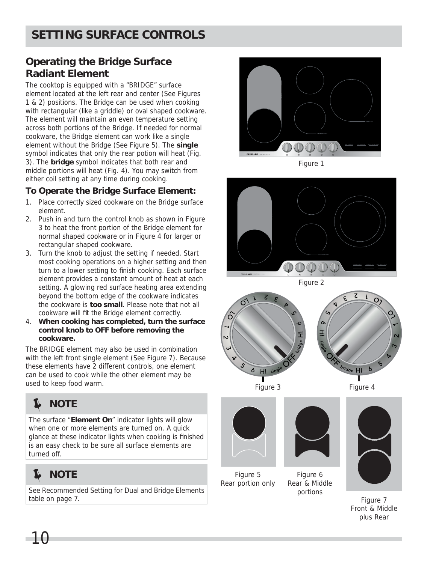## **Operating the Bridge Surface Radiant Element**

The cooktop is equipped with a "BRIDGE" surface element located at the left rear and center (See Figures 1 & 2) positions. The Bridge can be used when cooking with rectangular (like a griddle) or oval shaped cookware. The element will maintain an even temperature setting across both portions of the Bridge. If needed for normal cookware, the Bridge element can work like a single element without the Bridge (See Figure 5). The **single** symbol indicates that only the rear potion will heat (Fig. 3). The **bridge** symbol indicates that both rear and middle portions will heat (Fig. 4). You may switch from either coil setting at any time during cooking.

#### **To Operate the Bridge Surface Element:**

- 1. Place correctly sized cookware on the Bridge surface element.
- 2. Push in and turn the control knob as shown in Figure 3 to heat the front portion of the Bridge element for normal shaped cookware or in Figure 4 for larger or rectangular shaped cookware.
- 3. Turn the knob to adjust the setting if needed. Start most cooking operations on a higher setting and then turn to a lower setting to finish cooking. Each surface element provides a constant amount of heat at each setting. A glowing red surface heating area extending beyond the bottom edge of the cookware indicates the cookware is **too small**. Please note that not all cookware will fit the Bridge element correctly.
- 4. **When cooking has completed, turn the surface control knob to OFF before removing the cookware.**

The BRIDGE element may also be used in combination with the left front single element (See Figure 7). Because these elements have 2 different controls, one element can be used to cook while the other element may be used to keep food warm.



The surface "**Element On**" indicator lights will glow when one or more elements are turned on. A quick glance at these indicator lights when cooking is finished is an easy check to be sure all surface elements are turned off.



See Recommended Setting for Dual and Bridge Elements table on page 7.



Figure 1



Figure 2



Figure 3 Figure 4

Figure 5 Rear portion only



Figure 6 Rear & Middle portions



Figure 7 Front & Middle plus Rear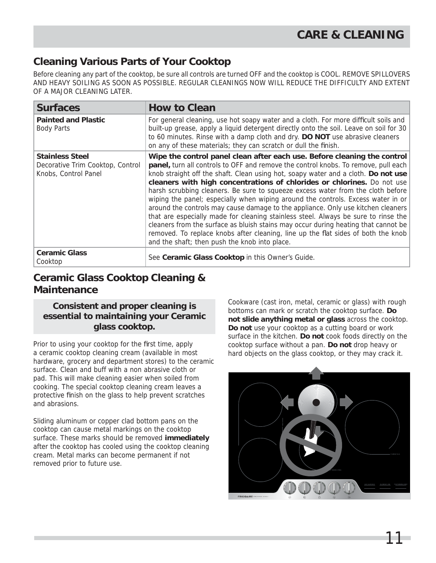## **Cleaning Various Parts of Your Cooktop**

Before cleaning any part of the cooktop, be sure all controls are turned OFF and the cooktop is COOL. REMOVE SPILLOVERS AND HEAVY SOILING AS SOON AS POSSIBLE. REGULAR CLEANINGS NOW WILL REDUCE THE DIFFICULTY AND EXTENT OF A MAJOR CLEANING LATER.

| <b>Surfaces</b>                                                                    | <b>How to Clean</b>                                                                                                                                                                                                                                                                                                                                                                                                                                                                                                                                                                                                                                                                                                                                                                                                                                                                                         |
|------------------------------------------------------------------------------------|-------------------------------------------------------------------------------------------------------------------------------------------------------------------------------------------------------------------------------------------------------------------------------------------------------------------------------------------------------------------------------------------------------------------------------------------------------------------------------------------------------------------------------------------------------------------------------------------------------------------------------------------------------------------------------------------------------------------------------------------------------------------------------------------------------------------------------------------------------------------------------------------------------------|
| <b>Painted and Plastic</b><br><b>Body Parts</b>                                    | For general cleaning, use hot soapy water and a cloth. For more difficult soils and<br>built-up grease, apply a liquid detergent directly onto the soil. Leave on soil for 30<br>to 60 minutes. Rinse with a damp cloth and dry. DO NOT use abrasive cleaners<br>on any of these materials; they can scratch or dull the finish.                                                                                                                                                                                                                                                                                                                                                                                                                                                                                                                                                                            |
| <b>Stainless Steel</b><br>Decorative Trim Cooktop, Control<br>Knobs, Control Panel | Wipe the control panel clean after each use. Before cleaning the control<br>panel, turn all controls to OFF and remove the control knobs. To remove, pull each<br>knob straight off the shaft. Clean using hot, soapy water and a cloth. Do not use<br>cleaners with high concentrations of chlorides or chlorines. Do not use<br>harsh scrubbing cleaners. Be sure to squeeze excess water from the cloth before<br>wiping the panel; especially when wiping around the controls. Excess water in or<br>around the controls may cause damage to the appliance. Only use kitchen cleaners<br>that are especially made for cleaning stainless steel. Always be sure to rinse the<br>cleaners from the surface as bluish stains may occur during heating that cannot be<br>removed. To replace knobs after cleaning, line up the flat sides of both the knob<br>and the shaft; then push the knob into place. |
| <b>Ceramic Glass</b><br>Cooktop                                                    | See Ceramic Glass Cooktop in this Owner's Guide.                                                                                                                                                                                                                                                                                                                                                                                                                                                                                                                                                                                                                                                                                                                                                                                                                                                            |

## **Ceramic Glass Cooktop Cleaning & Maintenance**

#### **Consistent and proper cleaning is essential to maintaining your Ceramic glass cooktop.**

Prior to using your cooktop for the first time, apply a ceramic cooktop cleaning cream (available in most hardware, grocery and department stores) to the ceramic surface. Clean and buff with a non abrasive cloth or pad. This will make cleaning easier when soiled from cooking. The special cooktop cleaning cream leaves a protective finish on the glass to help prevent scratches and abrasions.

Sliding aluminum or copper clad bottom pans on the cooktop can cause metal markings on the cooktop surface. These marks should be removed **immediately** after the cooktop has cooled using the cooktop cleaning cream. Metal marks can become permanent if not removed prior to future use.

Cookware (cast iron, metal, ceramic or glass) with rough bottoms can mark or scratch the cooktop surface. **Do not slide anything metal or glass** across the cooktop. **Do not** use your cooktop as a cutting board or work surface in the kitchen. **Do not** cook foods directly on the cooktop surface without a pan. **Do not** drop heavy or hard objects on the glass cooktop, or they may crack it.

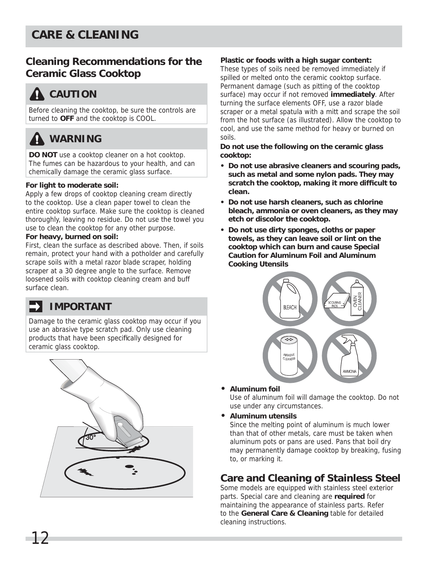# **CARE & CLEANING**

## **Cleaning Recommendations for the Ceramic Glass Cooktop**

# **CAUTION**

Before cleaning the cooktop, be sure the controls are turned to **OFF** and the cooktop is COOL.

# **WARNING**

**DO NOT** use a cooktop cleaner on a hot cooktop. The fumes can be hazardous to your health, and can chemically damage the ceramic glass surface.

#### **For light to moderate soil:**

Apply a few drops of cooktop cleaning cream directly to the cooktop. Use a clean paper towel to clean the entire cooktop surface. Make sure the cooktop is cleaned thoroughly, leaving no residue. Do not use the towel you use to clean the cooktop for any other purpose.

#### **For heavy, burned on soil:**

First, clean the surface as described above. Then, if soils remain, protect your hand with a potholder and carefully scrape soils with a metal razor blade scraper, holding scraper at a 30 degree angle to the surface. Remove loosened soils with cooktop cleaning cream and buff surface clean.

## **IMPORTANT**

Damage to the ceramic glass cooktop may occur if you use an abrasive type scratch pad. Only use cleaning products that have been specifically designed for ceramic glass cooktop.



#### **Plastic or foods with a high sugar content:**

These types of soils need be removed immediately if spilled or melted onto the ceramic cooktop surface. Permanent damage (such as pitting of the cooktop surface) may occur if not removed **immediately**. After turning the surface elements OFF, use a razor blade scraper or a metal spatula with a mitt and scrape the soil from the hot surface (as illustrated). Allow the cooktop to cool, and use the same method for heavy or burned on soils.

**Do not use the following on the ceramic glass cooktop:**

- **Do not use abrasive cleaners and scouring pads, such as metal and some nylon pads. They may**  scratch the cooktop, making it more difficult to **clean.**
- **Do not use harsh cleaners, such as chlorine bleach, ammonia or oven cleaners, as they may etch or discolor the cooktop.**
- **Do not use dirty sponges, cloths or paper towels, as they can leave soil or lint on the cooktop which can burn and cause Special Caution for Aluminum Foil and Aluminum Cooking Utensils**



**• Aluminum foil**

Use of aluminum foil will damage the cooktop. Do not use under any circumstances.

**• Aluminum utensils**

Since the melting point of aluminum is much lower than that of other metals, care must be taken when aluminum pots or pans are used. Pans that boil dry may permanently damage cooktop by breaking, fusing to, or marking it.

## **Care and Cleaning of Stainless Steel**

Some models are equipped with stainless steel exterior parts. Special care and cleaning are **required** for maintaining the appearance of stainless parts. Refer to the **General Care & Cleaning** table for detailed cleaning instructions.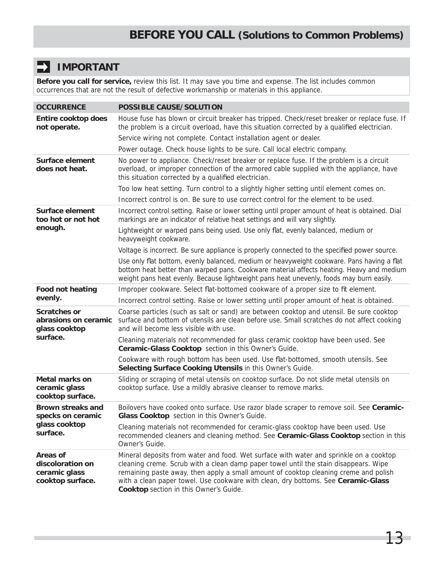#### $\blacksquare$ **IMPORTANT**

**Before you call for service,** review this list. It may save you time and expense. The list includes common occurrences that are not the result of defective workmanship or materials in this appliance.

| <b>OCCURRENCE</b>                                                 | <b>POSSIBLE CAUSE/SOLUTION</b>                                                                                                                                                                                                                                                                                                                                                                        |
|-------------------------------------------------------------------|-------------------------------------------------------------------------------------------------------------------------------------------------------------------------------------------------------------------------------------------------------------------------------------------------------------------------------------------------------------------------------------------------------|
| <b>Entire cooktop does</b><br>not operate.                        | House fuse has blown or circuit breaker has tripped. Check/reset breaker or replace fuse. If<br>the problem is a circuit overload, have this situation corrected by a qualified electrician.                                                                                                                                                                                                          |
|                                                                   | Service wiring not complete. Contact installation agent or dealer.                                                                                                                                                                                                                                                                                                                                    |
|                                                                   | Power outage. Check house lights to be sure. Call local electric company.                                                                                                                                                                                                                                                                                                                             |
| <b>Surface element</b><br>does not heat.                          | No power to appliance. Check/reset breaker or replace fuse. If the problem is a circuit<br>overload, or improper connection of the armored cable supplied with the appliance, have<br>this situation corrected by a qualified electrician.                                                                                                                                                            |
|                                                                   | Too low heat setting. Turn control to a slightly higher setting until element comes on.                                                                                                                                                                                                                                                                                                               |
|                                                                   | Incorrect control is on. Be sure to use correct control for the element to be used.                                                                                                                                                                                                                                                                                                                   |
| <b>Surface element</b><br>too hot or not hot                      | Incorrect control setting. Raise or lower setting until proper amount of heat is obtained. Dial<br>markings are an indicator of relative heat settings and will vary slightly.                                                                                                                                                                                                                        |
| enough.                                                           | Lightweight or warped pans being used. Use only flat, evenly balanced, medium or<br>heavyweight cookware.                                                                                                                                                                                                                                                                                             |
|                                                                   | Voltage is incorrect. Be sure appliance is properly connected to the specified power source.                                                                                                                                                                                                                                                                                                          |
|                                                                   | Use only flat bottom, evenly balanced, medium or heavyweight cookware. Pans having a flat<br>bottom heat better than warped pans. Cookware material affects heating. Heavy and medium<br>weight pans heat evenly. Because lightweight pans heat unevenly, foods may burn easily.                                                                                                                      |
| <b>Food not heating</b>                                           | Improper cookware. Select flat-bottomed cookware of a proper size to fit element.                                                                                                                                                                                                                                                                                                                     |
| evenly.                                                           | Incorrect control setting. Raise or lower setting until proper amount of heat is obtained.                                                                                                                                                                                                                                                                                                            |
| <b>Scratches or</b><br>abrasions on ceramic<br>glass cooktop      | Coarse particles (such as salt or sand) are between cooktop and utensil. Be sure cooktop<br>surface and bottom of utensils are clean before use. Small scratches do not affect cooking<br>and will become less visible with use.                                                                                                                                                                      |
| surface.                                                          | Cleaning materials not recommended for glass ceramic cooktop have been used. See<br>Ceramic-Glass Cooktop section in this Owner's Guide.                                                                                                                                                                                                                                                              |
|                                                                   | Cookware with rough bottom has been used. Use flat-bottomed, smooth utensils. See<br>Selecting Surface Cooking Utensils in this Owner's Guide.                                                                                                                                                                                                                                                        |
| <b>Metal marks on</b><br>ceramic glass<br>cooktop surface.        | Sliding or scraping of metal utensils on cooktop surface. Do not slide metal utensils on<br>cooktop surface. Use a mildly abrasive cleanser to remove marks.                                                                                                                                                                                                                                          |
| <b>Brown streaks and</b><br>specks on ceramic                     | Boilovers have cooked onto surface. Use razor blade scraper to remove soil. See Ceramic-<br>Glass Cooktop section in this Owner's Guide.                                                                                                                                                                                                                                                              |
| glass cooktop<br>surface.                                         | Cleaning materials not recommended for ceramic-glass cooktop have been used. Use<br>recommended cleaners and cleaning method. See Ceramic-Glass Cooktop section in this<br>Owner's Guide.                                                                                                                                                                                                             |
| Areas of<br>discoloration on<br>ceramic glass<br>cooktop surface. | Mineral deposits from water and food. Wet surface with water and sprinkle on a cooktop<br>cleaning creme. Scrub with a clean damp paper towel until the stain disappears. Wipe<br>remaining paste away, then apply a small amount of cooktop cleaning creme and polish<br>with a clean paper towel. Use cookware with clean, dry bottoms. See Ceramic-Glass<br>Cooktop section in this Owner's Guide. |